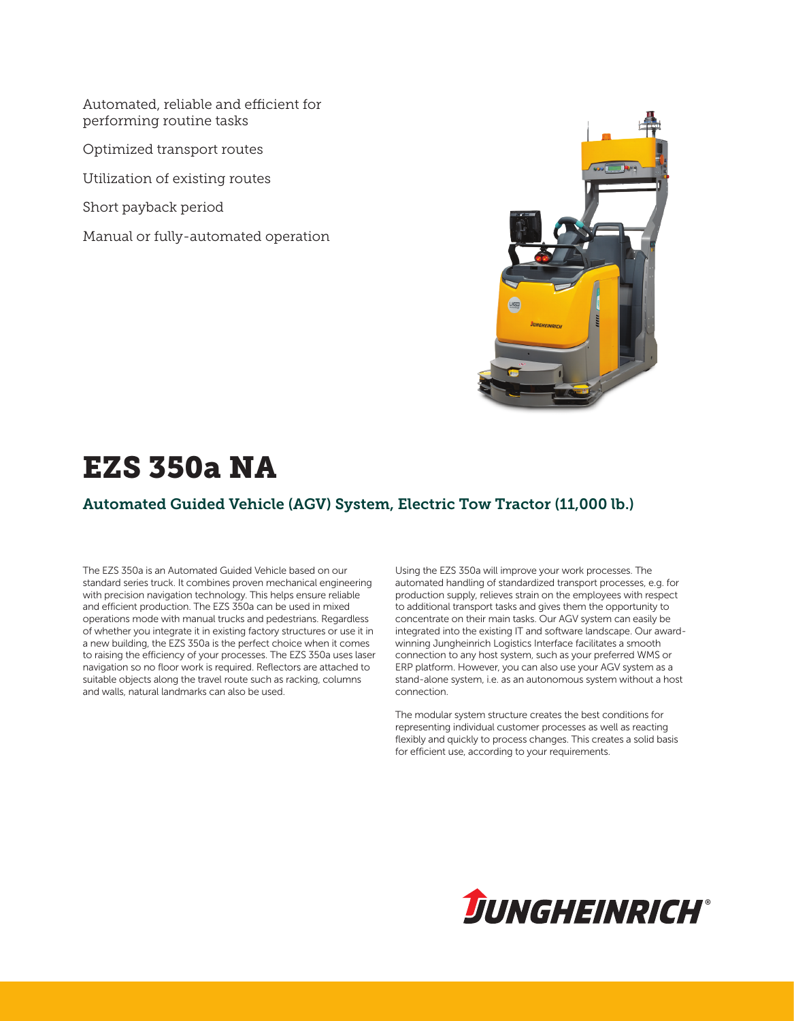Automated, reliable and efficient for performing routine tasks

Optimized transport routes

Utilization of existing routes

Short payback period

Manual or fully-automated operation



# EZS 350a NA

### Automated Guided Vehicle (AGV) System, Electric Tow Tractor (11,000 lb.)

The EZS 350a is an Automated Guided Vehicle based on our standard series truck. It combines proven mechanical engineering with precision navigation technology. This helps ensure reliable and efficient production. The EZS 350a can be used in mixed operations mode with manual trucks and pedestrians. Regardless of whether you integrate it in existing factory structures or use it in a new building, the EZS 350a is the perfect choice when it comes to raising the efficiency of your processes. The EZS 350a uses laser navigation so no floor work is required. Reflectors are attached to suitable objects along the travel route such as racking, columns and walls, natural landmarks can also be used.

Using the EZS 350a will improve your work processes. The automated handling of standardized transport processes, e.g. for production supply, relieves strain on the employees with respect to additional transport tasks and gives them the opportunity to concentrate on their main tasks. Our AGV system can easily be integrated into the existing IT and software landscape. Our awardwinning Jungheinrich Logistics Interface facilitates a smooth connection to any host system, such as your preferred WMS or ERP platform. However, you can also use your AGV system as a stand-alone system, i.e. as an autonomous system without a host connection.

The modular system structure creates the best conditions for representing individual customer processes as well as reacting flexibly and quickly to process changes. This creates a solid basis for efficient use, according to your requirements.

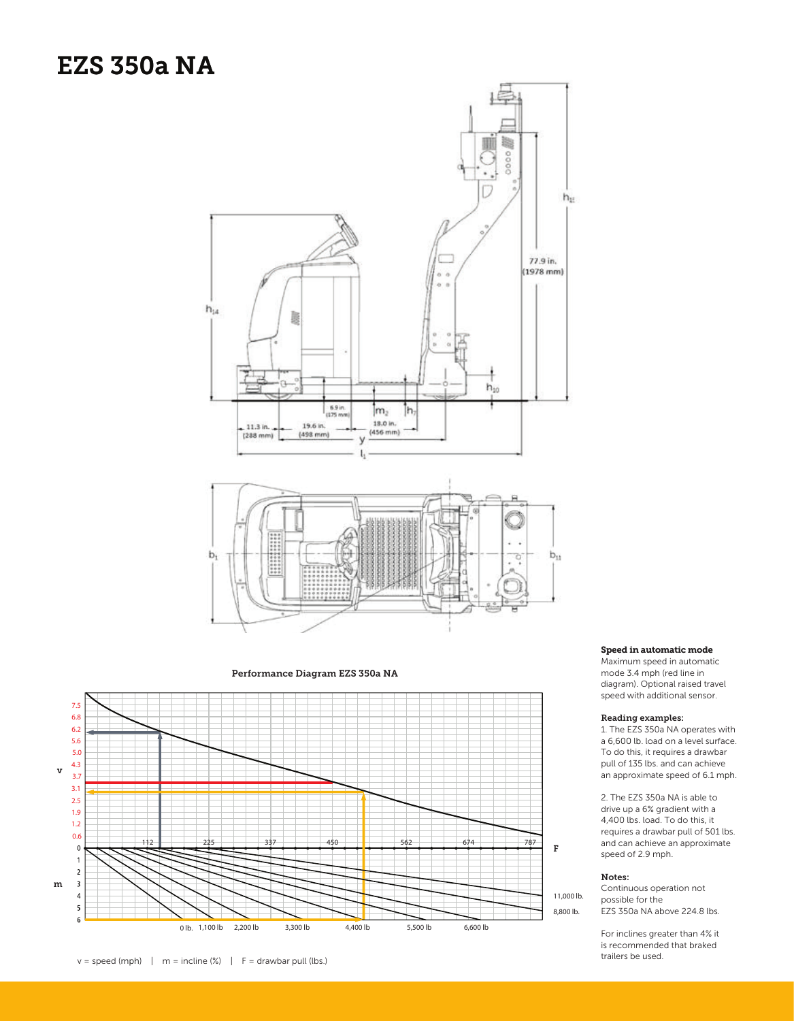### **EZS 350a NA**



Performance Diagram EZS 350a NA



Speed in automatic mode Speed in automatic mode

Maximum speed in automatic mode 3.4 mph (red line in diagram). Optional raised travel Maximum speed in automatic<br>mode 3.4 mph (red line in<br>diagram). Optional raised travel<br>speed with additional sensor.

#### Reading examples: Reading examples:

1. The EZS 350a NA operates with a 6,600 lb. load on a level surface. To do this, it requires a drawbar pull of 135 lbs. and can achieve an approximate speed of 6.1 mph.

2. The EZS 350a NA is able to drive up a 6% gradient with a 4,400 lbs. load. To do this, it requires a drawbar pull of 501 lbs. and can achieve an approximate speed of 2.9 mph. 1. The EZS 350a NA operates with<br>a 6,600 lb. load on a level surface.<br>To do this, it requires a drawbar<br>pull of 135 lbs. and can achieve<br>an approximate speed of 6.1 mph.<br>2. The EZS 350a NA is able to<br>drive up a 6% gradien

#### Notes: Notes:

Continuous operation not possible for the EZS 350a NA above 224.8 lbs.

For inclines greater than 4% it is recommended that braked trailers be used.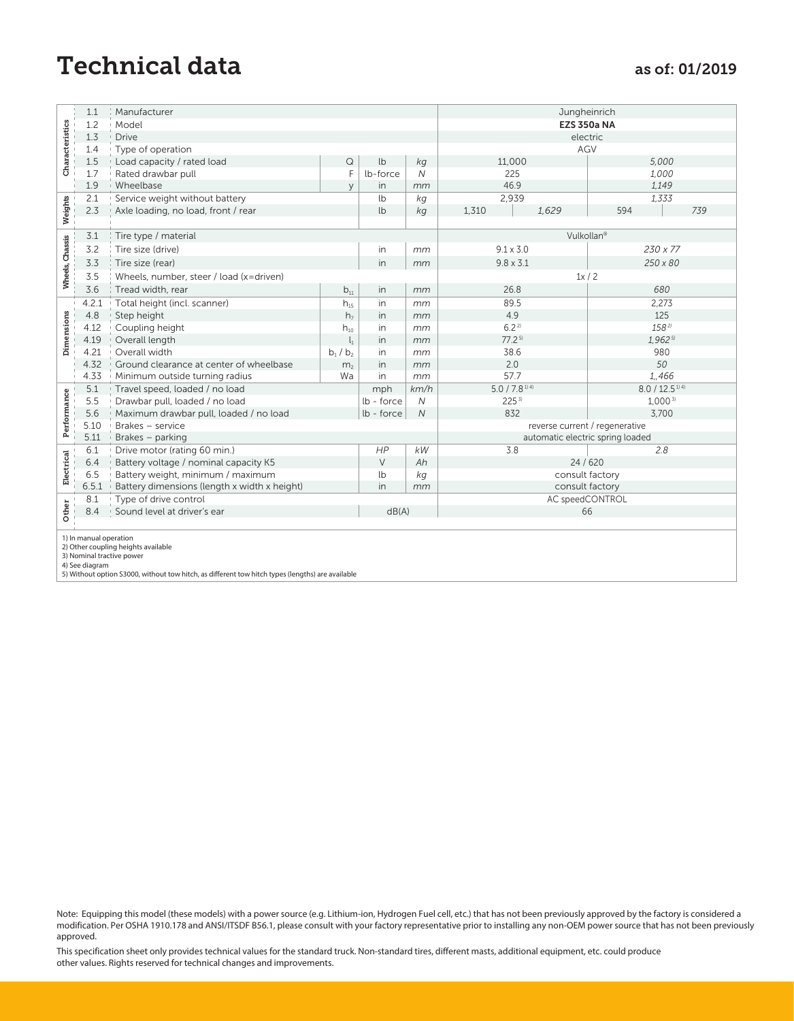## Technical data as of: 01/2019

|                           | 1.1                                                                                                                                                                        | Manufacturer                                                                                                                                                                                                                                                                                                                                                 |                       |            |            | Jungheinrich                     |                               |     |  |
|---------------------------|----------------------------------------------------------------------------------------------------------------------------------------------------------------------------|--------------------------------------------------------------------------------------------------------------------------------------------------------------------------------------------------------------------------------------------------------------------------------------------------------------------------------------------------------------|-----------------------|------------|------------|----------------------------------|-------------------------------|-----|--|
|                           | 1.2                                                                                                                                                                        | Model                                                                                                                                                                                                                                                                                                                                                        |                       |            |            | <b>EZS 350a NA</b>               |                               |     |  |
| Characteristics           | 1.3                                                                                                                                                                        | Drive                                                                                                                                                                                                                                                                                                                                                        |                       |            |            | electric                         |                               |     |  |
|                           | 1.4                                                                                                                                                                        | Type of operation                                                                                                                                                                                                                                                                                                                                            |                       |            |            | AGV                              |                               |     |  |
|                           | $1.5\,$                                                                                                                                                                    | Load capacity / rated load                                                                                                                                                                                                                                                                                                                                   | $\hbox{\large \it Q}$ | lb         | $k g$      | 11,000                           | 5,000                         |     |  |
|                           | 1.7                                                                                                                                                                        | Rated drawbar pull                                                                                                                                                                                                                                                                                                                                           | F                     | lb-force   | Ν          | 225                              | 1,000                         |     |  |
|                           | 1.9                                                                                                                                                                        | Wheelbase                                                                                                                                                                                                                                                                                                                                                    | y                     | in         | mm         | 46.9                             | 1,149                         |     |  |
|                           | 2.1                                                                                                                                                                        | Service weight without battery                                                                                                                                                                                                                                                                                                                               |                       | lb         | kg         | 2,939                            | 1,333                         |     |  |
| Weights                   | 2.3                                                                                                                                                                        | Axle loading, no load, front / rear                                                                                                                                                                                                                                                                                                                          |                       | lb         | kg         | 1,629<br>1,310                   | 594                           | 739 |  |
| Wheels, Chassis           |                                                                                                                                                                            |                                                                                                                                                                                                                                                                                                                                                              |                       |            |            |                                  |                               |     |  |
|                           | 3.1                                                                                                                                                                        | Tire type / material                                                                                                                                                                                                                                                                                                                                         |                       |            |            | Vulkollan <sup>®</sup>           |                               |     |  |
|                           | 3.2                                                                                                                                                                        | Tire size (drive)                                                                                                                                                                                                                                                                                                                                            |                       | in         | mm         | $9.1 \times 3.0$                 | $230 \times 77$               |     |  |
|                           | 3.3                                                                                                                                                                        | Tire size (rear)                                                                                                                                                                                                                                                                                                                                             |                       | in         | mm         | $9.8 \times 3.1$                 | 250 x 80                      |     |  |
|                           | 3.5                                                                                                                                                                        | Wheels, number, steer / load (x=driven)                                                                                                                                                                                                                                                                                                                      |                       |            |            | 1x/2                             |                               |     |  |
|                           | 3.6                                                                                                                                                                        | Tread width, rear                                                                                                                                                                                                                                                                                                                                            | $b_{11}$              | in         | mm         | 26.8                             | 680                           |     |  |
|                           | 4.2.1                                                                                                                                                                      | Total height (incl. scanner)                                                                                                                                                                                                                                                                                                                                 | $h_{15}$              | in         | mm         | 89.5                             | 2,273                         |     |  |
|                           | 4.8                                                                                                                                                                        | Step height                                                                                                                                                                                                                                                                                                                                                  | h <sub>7</sub>        | in         | mm         | 4.9                              | 125                           |     |  |
|                           | 4.12                                                                                                                                                                       | Coupling height                                                                                                                                                                                                                                                                                                                                              | $h_{10}$              | in         | mm         | 6.22                             | 1582)                         |     |  |
| Dimensions                | 4.19                                                                                                                                                                       | Overall length                                                                                                                                                                                                                                                                                                                                               | $\mathsf{l}_1$        | in         | mm         | 77.2 <sup>5</sup>                | 1,9625                        |     |  |
|                           | 4.21                                                                                                                                                                       | Overall width                                                                                                                                                                                                                                                                                                                                                | $b_1 / b_2$           | in         | mm         | 38.6                             | 980                           |     |  |
|                           | 4.32                                                                                                                                                                       | Ground clearance at center of wheelbase                                                                                                                                                                                                                                                                                                                      | m <sub>2</sub>        | in         | mm         | 2.0                              | 50                            |     |  |
|                           | 4.33                                                                                                                                                                       | Minimum outside turning radius                                                                                                                                                                                                                                                                                                                               | Wa                    | in         | mm         | 57.7                             | 1,466                         |     |  |
|                           | 5.1                                                                                                                                                                        | Travel speed, loaded / no load                                                                                                                                                                                                                                                                                                                               |                       | mph        | km/h       | $5.0 / 7.8$ <sup>1) 4)</sup>     | $8.0 / 12.5$ <sup>1) 4)</sup> |     |  |
|                           | 5.5                                                                                                                                                                        | Drawbar pull, loaded / no load                                                                                                                                                                                                                                                                                                                               |                       | lb - force | N          | 225 <sup>3</sup>                 | $1,000^{3}$                   |     |  |
|                           | 5.6                                                                                                                                                                        | Maximum drawbar pull, loaded / no load                                                                                                                                                                                                                                                                                                                       |                       | lb - force | ${\cal N}$ | 832                              | 3,700                         |     |  |
| Performance<br>Electrical | 5.10                                                                                                                                                                       | Brakes - service                                                                                                                                                                                                                                                                                                                                             |                       |            |            | reverse current / regenerative   |                               |     |  |
|                           | $5.11$                                                                                                                                                                     | Brakes - parking                                                                                                                                                                                                                                                                                                                                             |                       |            |            | automatic electric spring loaded |                               |     |  |
|                           | 6.1                                                                                                                                                                        | Drive motor (rating 60 min.)                                                                                                                                                                                                                                                                                                                                 |                       | HP         | kW         | 3.8                              | 2.8                           |     |  |
|                           | 6.4                                                                                                                                                                        | Battery voltage / nominal capacity K5                                                                                                                                                                                                                                                                                                                        |                       | $\vee$     | Ah         | 24/620                           |                               |     |  |
|                           | 6.5                                                                                                                                                                        | Battery weight, minimum / maximum                                                                                                                                                                                                                                                                                                                            |                       | lb         | kg         | consult factory                  |                               |     |  |
|                           | 6.5.1                                                                                                                                                                      | Battery dimensions (length x width x height)                                                                                                                                                                                                                                                                                                                 |                       | in         | mm         | consult factory                  |                               |     |  |
| Other                     | 8.1<br>8.4                                                                                                                                                                 | Type of drive control<br>Sound level at driver's ear                                                                                                                                                                                                                                                                                                         |                       | dB(A)      |            | AC speedCONTROL<br>66            |                               |     |  |
|                           |                                                                                                                                                                            |                                                                                                                                                                                                                                                                                                                                                              |                       |            |            |                                  |                               |     |  |
|                           | 4) See diagram                                                                                                                                                             | 5) Without option S3000, without tow hitch, as different tow hitch types (lengths) are available                                                                                                                                                                                                                                                             |                       |            |            |                                  |                               |     |  |
|                           |                                                                                                                                                                            | Note: Equipping this model (these models) with a power source (e.g. Lithium-ion, Hydrogen Fuel cell, etc.) that has not been previously approved by the factory is considered<br>modification. Per OSHA 1910.178 and ANSI/ITSDF B56.1, please consult with your factory representative prior to installing any non-OEM power source that has not been previc |                       |            |            |                                  |                               |     |  |
|                           | approved.<br>This specification sheet only provides technical values for the standard truck. Non-standard tires, different masts, additional equipment, etc. could produce |                                                                                                                                                                                                                                                                                                                                                              |                       |            |            |                                  |                               |     |  |
|                           | other values. Rights reserved for technical changes and improvements.                                                                                                      |                                                                                                                                                                                                                                                                                                                                                              |                       |            |            |                                  |                               |     |  |